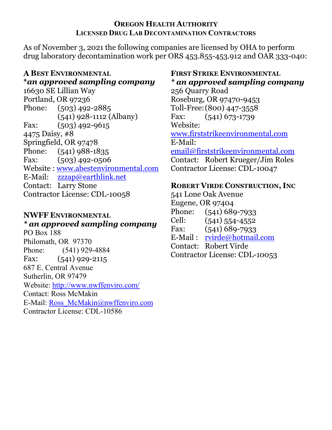#### **OREGON HEALTH AUTHORITY LICENSED DRUG LAB DECONTAMINATION CONTRACTORS**

As of November 3, 2021 the following companies are licensed by OHA to perform drug laboratory decontamination work per ORS 453.855-453.912 and OAR 333-040:

### **A BEST ENVIRONMENTAL \****an approved sampling company*

16630 SE Lillian Way Portland, OR 97236 Phone: (503) 492-2885 (541) 928-1112 (Albany) Fax: (503) 492-9615 4475 Daisy, #8 Springfield, OR 97478 Phone: (541) 988-1835 Fax: (503) 492-0506 Website : [www.abestenvironmental.com](http://www.abestenvironmental.com/) E-Mail: [zzzap@earthlink.net](mailto:zzzap@earthlink.net) Contact: Larry Stone Contractor License: CDL-10058

### **NWFF ENVIRONMENTAL** *\* an approved sampling company*

PO Box 188 Philomath, OR 97370 Phone: (541) 929-4884 Fax: (541) 929-2115 687 E. Central Avenue Sutherlin, OR 97479 Website:<http://www.nwffenviro.com/> Contact: Ross McMakin E-Mail: [Ross\\_McMakin@nwffenviro.com](mailto:Ross_McMakin@nwffenviro.com) Contractor License: CDL-10586

# **FIRST STRIKE ENVIRONMENTAL** *\* an approved sampling company*

256 Quarry Road Roseburg, OR 97470-9453 Toll-Free:(800) 447-3558 Fax: (541) 673-1739 Website: [www.firststrikee](http://www.firststrike/)nvironmental.com E-Mail: [email@firststrikeenvironmental.com](mailto:email@firststrikeenvironmental.com) Contact: Robert Krueger/Jim Roles Contractor License: CDL-10047

## **ROBERT VIRDE CONSTRUCTION, INC**

541 Lone Oak Avenue Eugene, OR 97404 Phone: (541) 689-7933 Cell: (541) 554-4552 Fax: (541) 689-7933 E-Mail : [rvirde@hotmail.com](mailto:rvirde@hotmail.com) Contact: Robert Virde Contractor License: CDL-10053